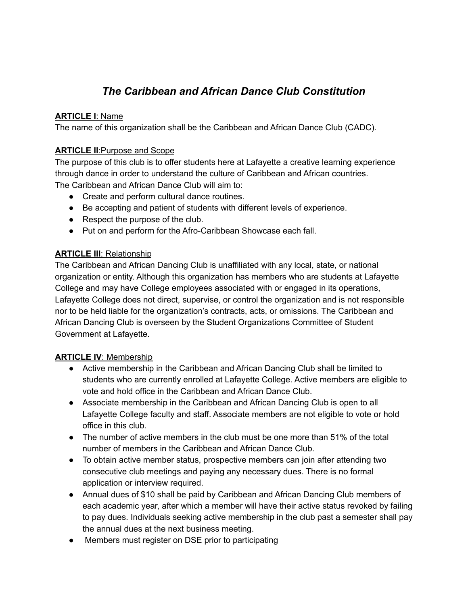# *The Caribbean and African Dance Club Constitution*

## **ARTICLE I**: Name

The name of this organization shall be the Caribbean and African Dance Club (CADC).

## **ARTICLE II**:Purpose and Scope

The purpose of this club is to offer students here at Lafayette a creative learning experience through dance in order to understand the culture of Caribbean and African countries. The Caribbean and African Dance Club will aim to:

- Create and perform cultural dance routines.
- Be accepting and patient of students with different levels of experience.
- Respect the purpose of the club.
- Put on and perform for the Afro-Caribbean Showcase each fall.

## **ARTICLE III**: Relationship

The Caribbean and African Dancing Club is unaffiliated with any local, state, or national organization or entity. Although this organization has members who are students at Lafayette College and may have College employees associated with or engaged in its operations, Lafayette College does not direct, supervise, or control the organization and is not responsible nor to be held liable for the organization's contracts, acts, or omissions. The Caribbean and African Dancing Club is overseen by the Student Organizations Committee of Student Government at Lafayette.

## **ARTICLE IV**: Membership

- Active membership in the Caribbean and African Dancing Club shall be limited to students who are currently enrolled at Lafayette College. Active members are eligible to vote and hold office in the Caribbean and African Dance Club.
- Associate membership in the Caribbean and African Dancing Club is open to all Lafayette College faculty and staff. Associate members are not eligible to vote or hold office in this club.
- The number of active members in the club must be one more than 51% of the total number of members in the Caribbean and African Dance Club.
- To obtain active member status, prospective members can join after attending two consecutive club meetings and paying any necessary dues. There is no formal application or interview required.
- Annual dues of \$10 shall be paid by Caribbean and African Dancing Club members of each academic year, after which a member will have their active status revoked by failing to pay dues. Individuals seeking active membership in the club past a semester shall pay the annual dues at the next business meeting.
- Members must register on DSE prior to participating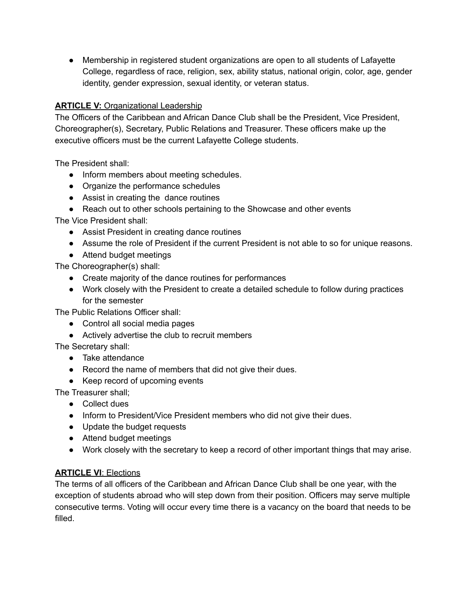● Membership in registered student organizations are open to all students of Lafayette College, regardless of race, religion, sex, ability status, national origin, color, age, gender identity, gender expression, sexual identity, or veteran status.

## **ARTICLE V:** Organizational Leadership

The Officers of the Caribbean and African Dance Club shall be the President, Vice President, Choreographer(s), Secretary, Public Relations and Treasurer. These officers make up the executive officers must be the current Lafayette College students.

The President shall:

- Inform members about meeting schedules.
- Organize the performance schedules
- Assist in creating the dance routines
- Reach out to other schools pertaining to the Showcase and other events

The Vice President shall:

- Assist President in creating dance routines
- Assume the role of President if the current President is not able to so for unique reasons.
- Attend budget meetings

The Choreographer(s) shall:

- Create majority of the dance routines for performances
- Work closely with the President to create a detailed schedule to follow during practices for the semester

The Public Relations Officer shall:

- Control all social media pages
- Actively advertise the club to recruit members

The Secretary shall:

- Take attendance
- Record the name of members that did not give their dues.
- Keep record of upcoming events

The Treasurer shall;

- Collect dues
- Inform to President/Vice President members who did not give their dues.
- Update the budget requests
- Attend budget meetings
- Work closely with the secretary to keep a record of other important things that may arise.

## **ARTICLE VI**: Elections

The terms of all officers of the Caribbean and African Dance Club shall be one year, with the exception of students abroad who will step down from their position. Officers may serve multiple consecutive terms. Voting will occur every time there is a vacancy on the board that needs to be filled.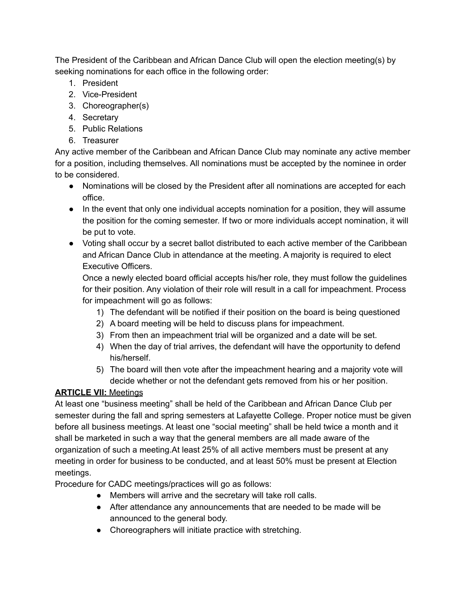The President of the Caribbean and African Dance Club will open the election meeting(s) by seeking nominations for each office in the following order:

- 1. President
- 2. Vice-President
- 3. Choreographer(s)
- 4. Secretary
- 5. Public Relations
- 6. Treasurer

Any active member of the Caribbean and African Dance Club may nominate any active member for a position, including themselves. All nominations must be accepted by the nominee in order to be considered.

- Nominations will be closed by the President after all nominations are accepted for each office.
- In the event that only one individual accepts nomination for a position, they will assume the position for the coming semester. If two or more individuals accept nomination, it will be put to vote.
- Voting shall occur by a secret ballot distributed to each active member of the Caribbean and African Dance Club in attendance at the meeting. A majority is required to elect Executive Officers.

Once a newly elected board official accepts his/her role, they must follow the guidelines for their position. Any violation of their role will result in a call for impeachment. Process for impeachment will go as follows:

- 1) The defendant will be notified if their position on the board is being questioned
- 2) A board meeting will be held to discuss plans for impeachment.
- 3) From then an impeachment trial will be organized and a date will be set.
- 4) When the day of trial arrives, the defendant will have the opportunity to defend his/herself.
- 5) The board will then vote after the impeachment hearing and a majority vote will decide whether or not the defendant gets removed from his or her position.

## **ARTICLE VII:** Meetings

At least one "business meeting" shall be held of the Caribbean and African Dance Club per semester during the fall and spring semesters at Lafayette College. Proper notice must be given before all business meetings. At least one "social meeting" shall be held twice a month and it shall be marketed in such a way that the general members are all made aware of the organization of such a meeting.At least 25% of all active members must be present at any meeting in order for business to be conducted, and at least 50% must be present at Election meetings.

Procedure for CADC meetings/practices will go as follows:

- Members will arrive and the secretary will take roll calls.
- After attendance any announcements that are needed to be made will be announced to the general body.
- Choreographers will initiate practice with stretching.